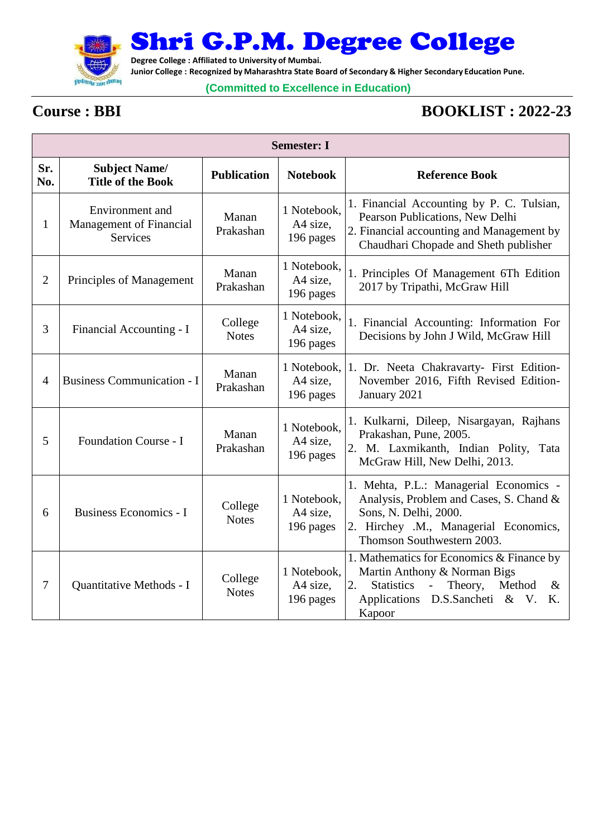

Shri G.P.M. Degree College

**Degree College : Affiliated to University of Mumbai.**

**Junior College : Recognized by Maharashtra State Board of Secondary & Higher Secondary Education Pune.**

## **(Committed to Excellence in Education)**

## **Course : BBI BOOKLIST : 2022-23**

| <b>Semester: I</b> |                                                                      |                         |                                      |                                                                                                                                                                                                               |  |
|--------------------|----------------------------------------------------------------------|-------------------------|--------------------------------------|---------------------------------------------------------------------------------------------------------------------------------------------------------------------------------------------------------------|--|
| Sr.<br>No.         | <b>Subject Name/</b><br><b>Title of the Book</b>                     | <b>Publication</b>      | <b>Notebook</b>                      | <b>Reference Book</b>                                                                                                                                                                                         |  |
| $\mathbf{1}$       | Environment and<br><b>Management of Financial</b><br><b>Services</b> | Manan<br>Prakashan      | 1 Notebook,<br>A4 size,<br>196 pages | 1. Financial Accounting by P. C. Tulsian,<br>Pearson Publications, New Delhi<br>2. Financial accounting and Management by<br>Chaudhari Chopade and Sheth publisher                                            |  |
| $\overline{2}$     | Principles of Management                                             | Manan<br>Prakashan      | 1 Notebook,<br>A4 size,<br>196 pages | 1. Principles Of Management 6Th Edition<br>2017 by Tripathi, McGraw Hill                                                                                                                                      |  |
| 3                  | Financial Accounting - I                                             | College<br><b>Notes</b> | 1 Notebook,<br>A4 size,<br>196 pages | 1. Financial Accounting: Information For<br>Decisions by John J Wild, McGraw Hill                                                                                                                             |  |
| $\overline{4}$     | <b>Business Communication - I</b>                                    | Manan<br>Prakashan      | A4 size,<br>196 pages                | 1 Notebook, 1. Dr. Neeta Chakravarty- First Edition-<br>November 2016, Fifth Revised Edition-<br>January 2021                                                                                                 |  |
| 5                  | Foundation Course - I                                                | Manan<br>Prakashan      | 1 Notebook,<br>A4 size,<br>196 pages | 1. Kulkarni, Dileep, Nisargayan, Rajhans<br>Prakashan, Pune, 2005.<br>2. M. Laxmikanth, Indian Polity, Tata<br>McGraw Hill, New Delhi, 2013.                                                                  |  |
| 6                  | <b>Business Economics - I</b>                                        | College<br><b>Notes</b> | 1 Notebook,<br>A4 size,<br>196 pages | 1. Mehta, P.L.: Managerial Economics -<br>Analysis, Problem and Cases, S. Chand &<br>Sons, N. Delhi, 2000.<br>2. Hirchey .M., Managerial Economics,<br>Thomson Southwestern 2003.                             |  |
| 7                  | Quantitative Methods - I                                             | College<br><b>Notes</b> | 1 Notebook,<br>A4 size,<br>196 pages | 1. Mathematics for Economics & Finance by<br>Martin Anthony & Norman Bigs<br>2.<br>Theory,<br><b>Statistics</b><br>Method<br>$\omega_{\rm{max}}$<br>$\&$<br>D.S.Sancheti & V.<br>Applications<br>K.<br>Kapoor |  |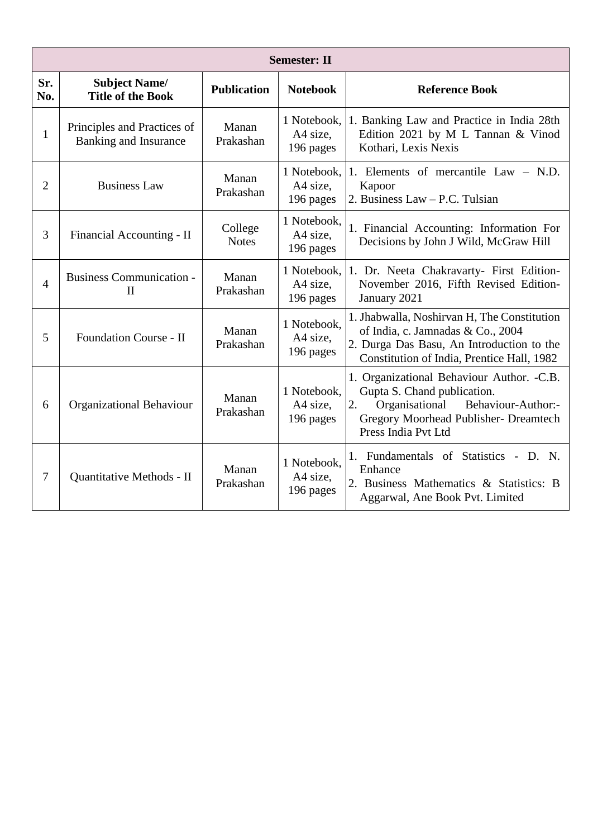| <b>Semester: II</b> |                                                             |                         |                                      |                                                                                                                                                                                        |
|---------------------|-------------------------------------------------------------|-------------------------|--------------------------------------|----------------------------------------------------------------------------------------------------------------------------------------------------------------------------------------|
| Sr.<br>No.          | <b>Subject Name/</b><br><b>Title of the Book</b>            | <b>Publication</b>      | <b>Notebook</b>                      | <b>Reference Book</b>                                                                                                                                                                  |
| $\mathbf{1}$        | Principles and Practices of<br><b>Banking and Insurance</b> | Manan<br>Prakashan      | 1 Notebook,<br>A4 size,<br>196 pages | 1. Banking Law and Practice in India 28th<br>Edition 2021 by M L Tannan & Vinod<br>Kothari, Lexis Nexis                                                                                |
| 2                   | <b>Business Law</b>                                         | Manan<br>Prakashan      | A4 size,<br>196 pages                | 1 Notebook, 1. Elements of mercantile Law – N.D.<br>Kapoor<br>2. Business Law - P.C. Tulsian                                                                                           |
| 3                   | Financial Accounting - II                                   | College<br><b>Notes</b> | 1 Notebook,<br>A4 size,<br>196 pages | 1. Financial Accounting: Information For<br>Decisions by John J Wild, McGraw Hill                                                                                                      |
| $\overline{4}$      | <b>Business Communication -</b><br>$\mathbf{I}$             | Manan<br>Prakashan      | A4 size,<br>196 pages                | 1 Notebook, 1. Dr. Neeta Chakravarty- First Edition-<br>November 2016, Fifth Revised Edition-<br>January 2021                                                                          |
| 5                   | <b>Foundation Course - II</b>                               | Manan<br>Prakashan      | 1 Notebook.<br>A4 size,<br>196 pages | 1. Jhabwalla, Noshirvan H, The Constitution<br>of India, c. Jamnadas & Co., 2004<br>2. Durga Das Basu, An Introduction to the<br>Constitution of India, Prentice Hall, 1982            |
| 6                   | Organizational Behaviour                                    | Manan<br>Prakashan      | 1 Notebook,<br>A4 size,<br>196 pages | 1. Organizational Behaviour Author. -C.B.<br>Gupta S. Chand publication.<br>Behaviour-Author:-<br>Organisational<br>2.<br>Gregory Moorhead Publisher- Dreamtech<br>Press India Pvt Ltd |
| 7                   | Quantitative Methods - II                                   | Manan<br>Prakashan      | 1 Notebook,<br>A4 size,<br>196 pages | 1. Fundamentals of Statistics - D. N.<br>Enhance<br>2. Business Mathematics & Statistics: B<br>Aggarwal, Ane Book Pvt. Limited                                                         |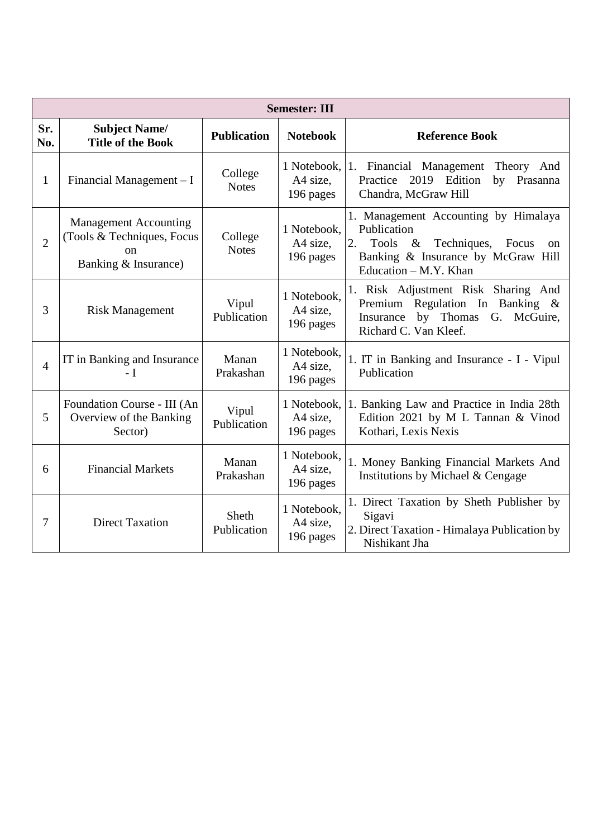| <b>Semester: III</b> |                                                                                                     |                             |                                      |                                                                                                                                                                             |  |
|----------------------|-----------------------------------------------------------------------------------------------------|-----------------------------|--------------------------------------|-----------------------------------------------------------------------------------------------------------------------------------------------------------------------------|--|
| Sr.<br>No.           | <b>Subject Name/</b><br><b>Title of the Book</b>                                                    | <b>Publication</b>          | <b>Notebook</b>                      | <b>Reference Book</b>                                                                                                                                                       |  |
| $\mathbf{1}$         | Financial Management $-I$                                                                           | College<br><b>Notes</b>     | A4 size,<br>196 pages                | 1 Notebook, 1. Financial Management<br>Theory And<br>2019 Edition<br>Practice<br>by Prasanna<br>Chandra, McGraw Hill                                                        |  |
| $\overline{2}$       | <b>Management Accounting</b><br>(Tools & Techniques, Focus<br><sub>on</sub><br>Banking & Insurance) | College<br><b>Notes</b>     | 1 Notebook,<br>A4 size,<br>196 pages | 1. Management Accounting by Himalaya<br>Publication<br><b>Tools</b><br>Techniques, Focus<br>$\&$<br>2.<br>on<br>Banking & Insurance by McGraw Hill<br>Education - M.Y. Khan |  |
| 3                    | <b>Risk Management</b>                                                                              | Vipul<br>Publication        | 1 Notebook,<br>A4 size,<br>196 pages | 1. Risk Adjustment Risk Sharing And<br>Premium Regulation In Banking $\&$<br>by Thomas<br>Insurance<br>G.<br>McGuire,<br>Richard C. Van Kleef.                              |  |
| $\overline{4}$       | IT in Banking and Insurance<br>$-I$                                                                 | Manan<br>Prakashan          | 1 Notebook,<br>A4 size,<br>196 pages | 1. IT in Banking and Insurance - I - Vipul<br>Publication                                                                                                                   |  |
| 5                    | Foundation Course - III (An<br>Overview of the Banking<br>Sector)                                   | Vipul<br>Publication        | A4 size,<br>196 pages                | 1 Notebook, 1. Banking Law and Practice in India 28th<br>Edition 2021 by M L Tannan & Vinod<br>Kothari, Lexis Nexis                                                         |  |
| 6                    | <b>Financial Markets</b>                                                                            | Manan<br>Prakashan          | 1 Notebook,<br>A4 size,<br>196 pages | 1. Money Banking Financial Markets And<br>Institutions by Michael & Cengage                                                                                                 |  |
| 7                    | <b>Direct Taxation</b>                                                                              | <b>Sheth</b><br>Publication | 1 Notebook,<br>A4 size,<br>196 pages | 1. Direct Taxation by Sheth Publisher by<br>Sigavi<br>2. Direct Taxation - Himalaya Publication by<br>Nishikant Jha                                                         |  |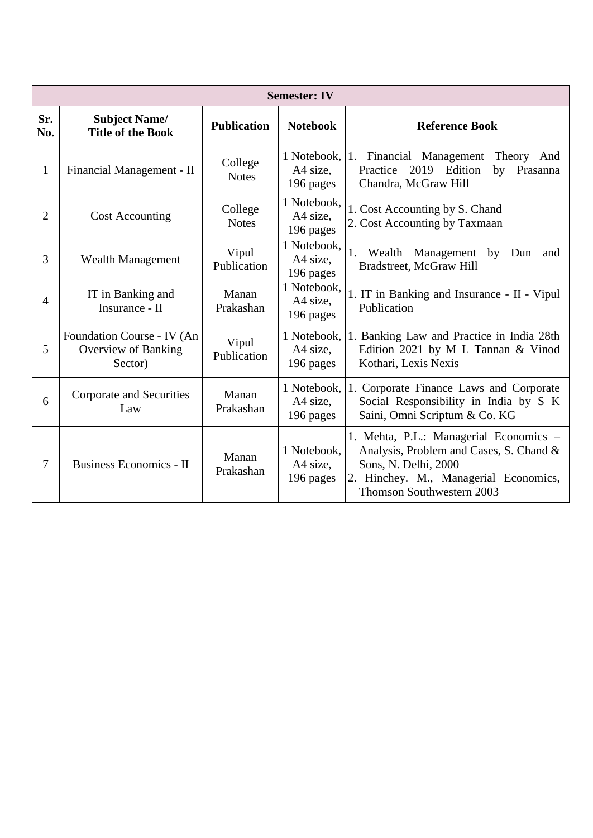| <b>Semester: IV</b> |                                                              |                         |                                      |                                                                                                                                                                                 |
|---------------------|--------------------------------------------------------------|-------------------------|--------------------------------------|---------------------------------------------------------------------------------------------------------------------------------------------------------------------------------|
| Sr.<br>No.          | <b>Subject Name/</b><br><b>Title of the Book</b>             | <b>Publication</b>      | <b>Notebook</b>                      | <b>Reference Book</b>                                                                                                                                                           |
| 1                   | Financial Management - II                                    | College<br><b>Notes</b> | 1 Notebook,<br>A4 size,<br>196 pages | 1. Financial Management Theory And<br>Practice<br>2019 Edition<br>by Prasanna<br>Chandra, McGraw Hill                                                                           |
| $\overline{2}$      | <b>Cost Accounting</b>                                       | College<br><b>Notes</b> | 1 Notebook,<br>A4 size,<br>196 pages | 1. Cost Accounting by S. Chand<br>2. Cost Accounting by Taxmaan                                                                                                                 |
| 3                   | <b>Wealth Management</b>                                     | Vipul<br>Publication    | 1 Notebook,<br>A4 size,<br>196 pages | 1.<br>Wealth<br>Management<br>by<br>Dun<br>and<br>Bradstreet, McGraw Hill                                                                                                       |
| $\overline{4}$      | IT in Banking and<br>Insurance - II                          | Manan<br>Prakashan      | 1 Notebook,<br>A4 size,<br>196 pages | 1. IT in Banking and Insurance - II - Vipul<br>Publication                                                                                                                      |
| 5                   | Foundation Course - IV (An<br>Overview of Banking<br>Sector) | Vipul<br>Publication    | 1 Notebook,<br>A4 size.<br>196 pages | 1. Banking Law and Practice in India 28th<br>Edition 2021 by M L Tannan & Vinod<br>Kothari, Lexis Nexis                                                                         |
| 6                   | Corporate and Securities<br>Law                              | Manan<br>Prakashan      | 1 Notebook,<br>A4 size,<br>196 pages | 1. Corporate Finance Laws and Corporate<br>Social Responsibility in India by S K<br>Saini, Omni Scriptum & Co. KG                                                               |
| 7                   | Business Economics - II                                      | Manan<br>Prakashan      | 1 Notebook,<br>A4 size,<br>196 pages | 1. Mehta, P.L.: Managerial Economics -<br>Analysis, Problem and Cases, S. Chand &<br>Sons, N. Delhi, 2000<br>2. Hinchey. M., Managerial Economics,<br>Thomson Southwestern 2003 |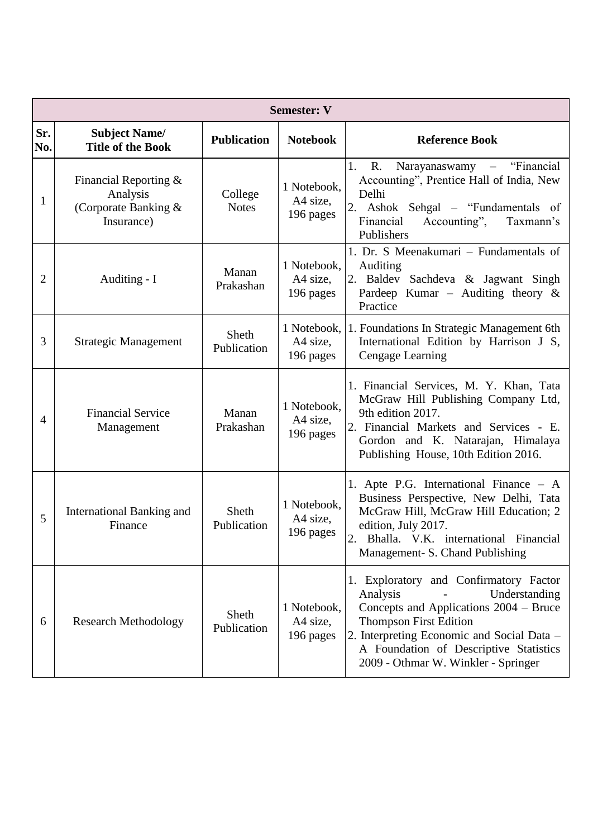| <b>Semester: V</b> |                                                                           |                         |                                      |                                                                                                                                                                                                                                                                               |
|--------------------|---------------------------------------------------------------------------|-------------------------|--------------------------------------|-------------------------------------------------------------------------------------------------------------------------------------------------------------------------------------------------------------------------------------------------------------------------------|
| Sr.<br>No.         | <b>Subject Name/</b><br><b>Title of the Book</b>                          | <b>Publication</b>      | <b>Notebook</b>                      | <b>Reference Book</b>                                                                                                                                                                                                                                                         |
| 1                  | Financial Reporting $&$<br>Analysis<br>(Corporate Banking &<br>Insurance) | College<br><b>Notes</b> | 1 Notebook,<br>A4 size,<br>196 pages | Narayanaswamy - "Financial<br>1.<br>R.<br>Accounting", Prentice Hall of India, New<br>Delhi<br>2.<br>Ashok Sehgal – "Fundamentals of<br>Financial<br>Accounting",<br>Taxmann's<br>Publishers                                                                                  |
| 2                  | Auditing - I                                                              | Manan<br>Prakashan      | 1 Notebook,<br>A4 size,<br>196 pages | 1. Dr. S Meenakumari – Fundamentals of<br>Auditing<br>2. Baldev Sachdeva & Jagwant Singh<br>Pardeep Kumar – Auditing theory $\&$<br>Practice                                                                                                                                  |
| 3                  | Strategic Management                                                      | Sheth<br>Publication    | 1 Notebook,<br>A4 size,<br>196 pages | 1. Foundations In Strategic Management 6th<br>International Edition by Harrison J S,<br>Cengage Learning                                                                                                                                                                      |
| 4                  | <b>Financial Service</b><br>Management                                    | Manan<br>Prakashan      | 1 Notebook,<br>A4 size,<br>196 pages | 1. Financial Services, M. Y. Khan, Tata<br>McGraw Hill Publishing Company Ltd,<br>9th edition 2017.<br>2. Financial Markets and Services - E.<br>Gordon and K. Natarajan, Himalaya<br>Publishing House, 10th Edition 2016.                                                    |
| 5                  | International Banking and<br>Finance                                      | Sheth<br>Publication    | 1 Notebook,<br>A4 size,<br>196 pages | 1. Apte P.G. International Finance – A<br>Business Perspective, New Delhi, Tata<br>McGraw Hill, McGraw Hill Education; 2<br>edition, July 2017.<br>$\overline{2}$<br>Bhalla. V.K. international Financial<br>Management- S. Chand Publishing                                  |
| 6                  | <b>Research Methodology</b>                                               | Sheth<br>Publication    | 1 Notebook,<br>A4 size,<br>196 pages | 1. Exploratory and Confirmatory Factor<br>Analysis<br>Understanding<br>Concepts and Applications 2004 – Bruce<br><b>Thompson First Edition</b><br>2. Interpreting Economic and Social Data -<br>A Foundation of Descriptive Statistics<br>2009 - Othmar W. Winkler - Springer |